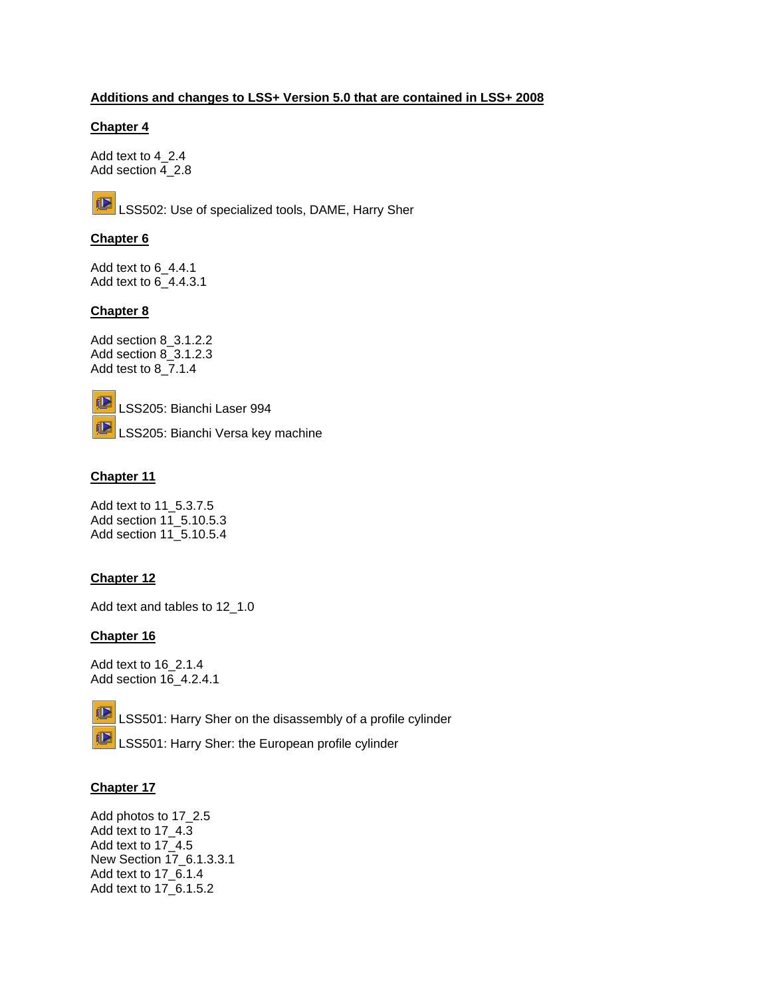## **Additions and changes to LSS+ Version 5.0 that are contained in LSS+ 2008**

#### **Chapter 4**

Add text to 4\_2.4 Add section 4\_2.8



## **Chapter 6**

Add text to 6\_4.4.1 Add text to 6\_4.4.3.1

## **Chapter 8**

Add section 8\_3.1.2.2 Add section 8\_3.1.2.3 Add test to 8\_7.1.4



LSS205: Bianchi Laser 994

LSS205: Bianchi Versa key machine

## **Chapter 11**

Add text to 11\_5.3.7.5 Add section 11\_5.10.5.3 Add section 11\_5.10.5.4

## **Chapter 12**

Add text and tables to 12\_1.0

#### **Chapter 16**

Add text to 16\_2.1.4 Add section 16\_4.2.4.1

LSS501: Harry Sher on the disassembly of a profile cylinder



LSS501: Harry Sher: the European profile cylinder

#### **Chapter 17**

Add photos to 17\_2.5 Add text to 17\_4.3 Add text to 17\_4.5 New Section 17\_6.1.3.3.1 Add text to 17\_6.1.4 Add text to 17\_6.1.5.2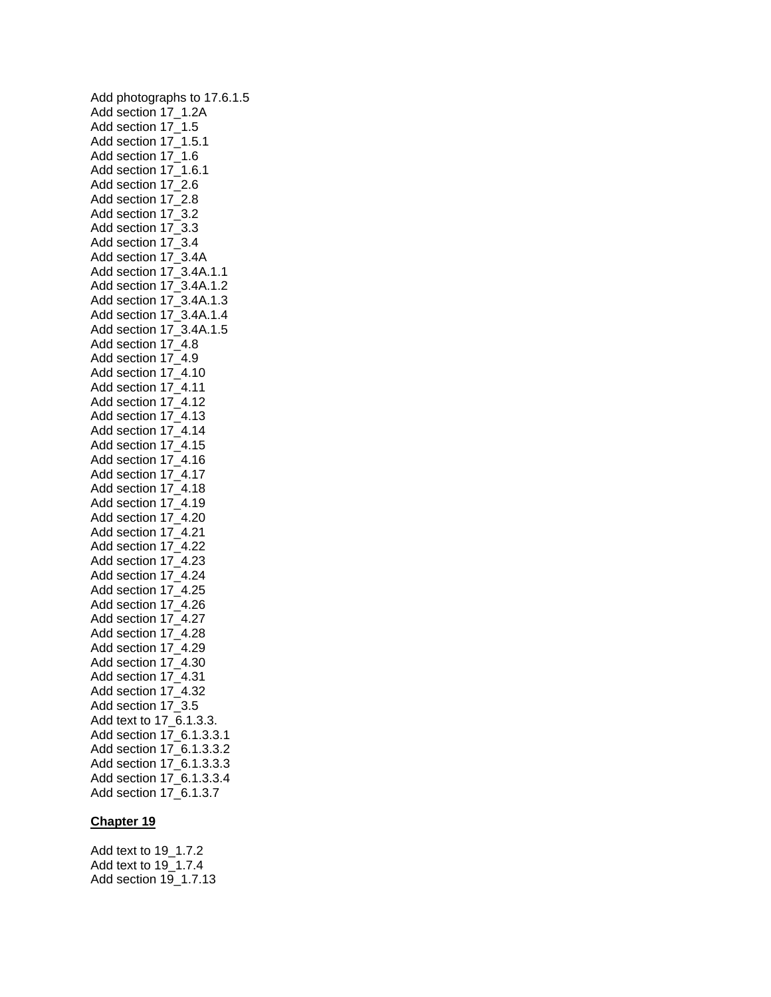Add photographs to 17.6.1.5 Add section 17\_1.2A Add section 17\_1.5 Add section 17\_1.5.1 Add section 17\_1.6 Add section 17\_1.6.1 Add section 17\_2.6 Add section 17\_2.8 Add section 17\_3.2 Add section 17\_3.3 Add section 17\_3.4 Add section 17\_3.4A Add section 17\_3.4A.1.1 Add section 17\_3.4A.1.2 Add section 17\_3.4A.1.3 Add section 17\_3.4A.1.4 Add section 17\_3.4A.1.5 Add section 17\_4.8 Add section 17\_4.9 Add section 17\_4.10 Add section 17\_4.11 Add section 17\_4.12 Add section 17\_4.13 Add section 17\_4.14 Add section 17\_4.15 Add section 17\_4.16 Add section 17\_4.17 Add section 17\_4.18 Add section 17\_4.19 Add section 17\_4.20 Add section 17\_4.21 Add section 17\_4.22 Add section 17\_4.23 Add section 17\_4.24 Add section 17\_4.25 Add section 17\_4.26 Add section 17\_4.27 Add section 17\_4.28 Add section 17\_4.29 Add section 17\_4.30 Add section 17\_4.31 Add section 17\_4.32 Add section 17\_3.5 Add text to 17\_6.1.3.3. Add section 17\_6.1.3.3.1 Add section 17\_6.1.3.3.2 Add section 17\_6.1.3.3.3 Add section 17\_6.1.3.3.4 Add section 17\_6.1.3.7

#### **Chapter 19**

Add text to 19\_1.7.2 Add text to 19\_1.7.4 Add section 19\_1.7.13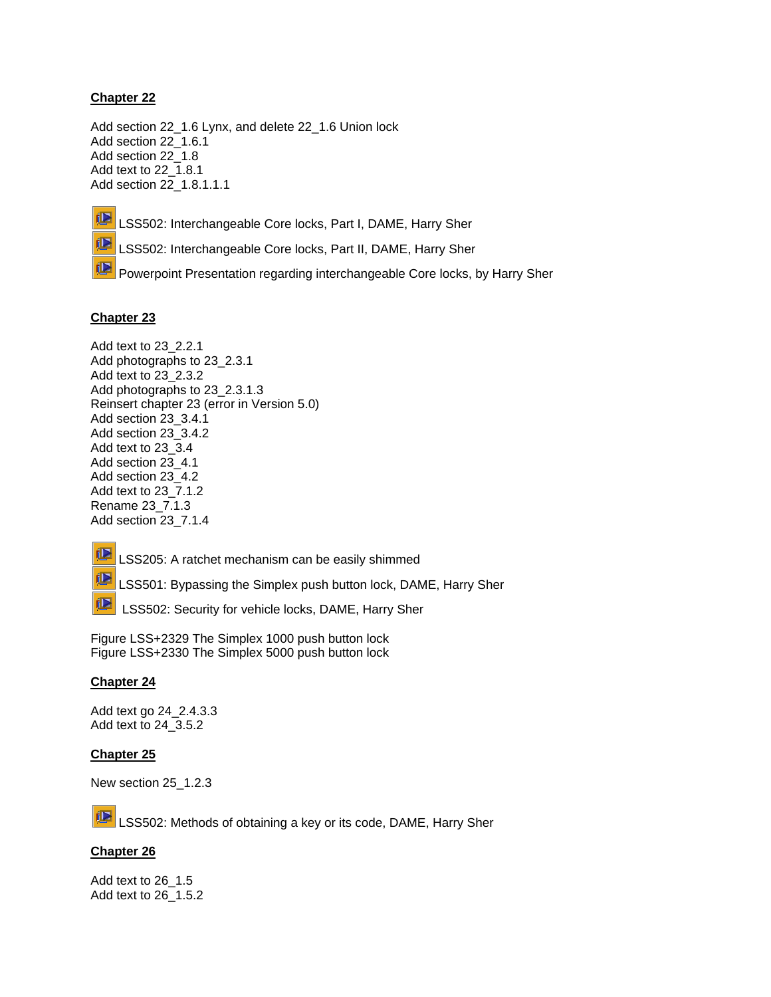Add section 22\_1.6 Lynx, and delete 22\_1.6 Union lock Add section 22\_1.6.1 Add section 22\_1.8 Add text to 22\_1.8.1 Add section 22\_1.8.1.1.1

帼

<u>in</u>

LSS502: Interchangeable Core locks, Part I, DAME, Harry Sher

LSS502: Interchangeable Core locks, Part II, DAME, Harry Sher

tl⊇ Powerpoint Presentation regarding interchangeable Core locks, by Harry Sher

## **Chapter 23**

Add text to 23\_2.2.1 Add photographs to 23\_2.3.1 Add text to 23\_2.3.2 Add photographs to 23\_2.3.1.3 Reinsert chapter 23 (error in Version 5.0) Add section 23\_3.4.1 Add section 23\_3.4.2 Add text to 23\_3.4 Add section 23\_4.1 Add section 23\_4.2 Add text to 23\_7.1.2 Rename 23\_7.1.3 Add section 23\_7.1.4

**ID** 

但 <u>in</u> LSS205: A ratchet mechanism can be easily shimmed

LSS501: Bypassing the Simplex push button lock, DAME, Harry Sher

LSS502: Security for vehicle locks, DAME, Harry Sher

Figure LSS+2329 The Simplex 1000 push button lock Figure LSS+2330 The Simplex 5000 push button lock

# **Chapter 24**

Add text go 24\_2.4.3.3 Add text to 24\_3.5.2

## **Chapter 25**

New section 25\_1.2.3

**ID** LSS502: Methods of obtaining a key or its code, DAME, Harry Sher

## **Chapter 26**

Add text to 26\_1.5 Add text to 26\_1.5.2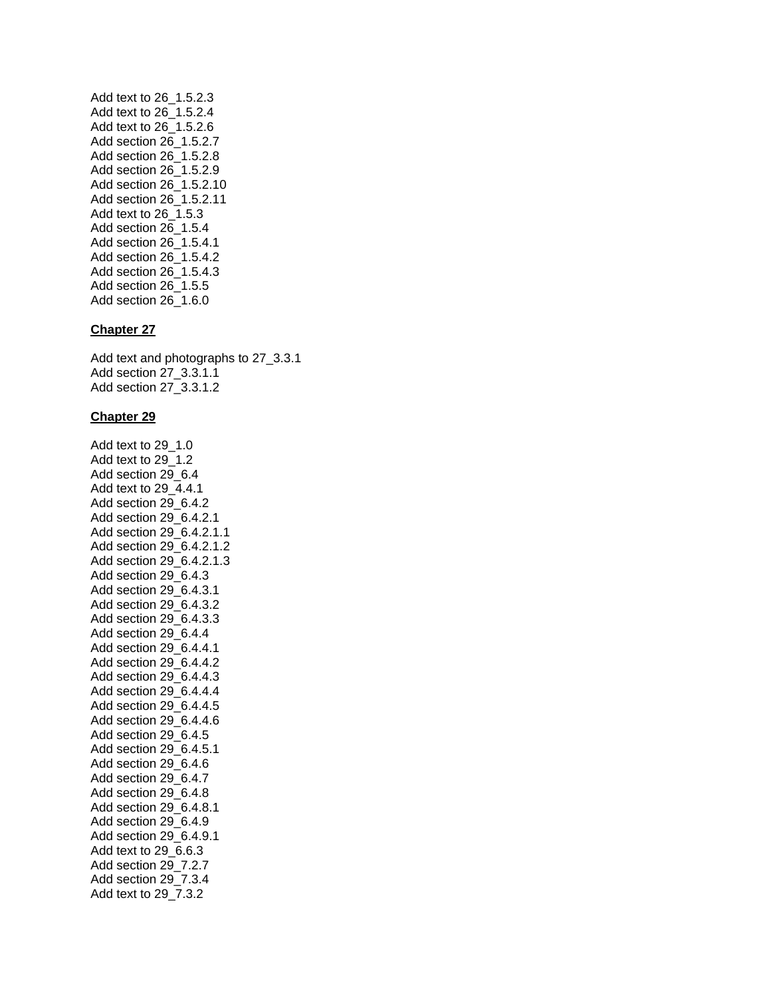Add text to 26\_1.5.2.3 Add text to 26\_1.5.2.4 Add text to 26\_1.5.2.6 Add section 26\_1.5.2.7 Add section 26\_1.5.2.8 Add section 26\_1.5.2.9 Add section 26\_1.5.2.10 Add section 26\_1.5.2.11 Add text to 26\_1.5.3 Add section 26\_1.5.4 Add section 26\_1.5.4.1 Add section 26\_1.5.4.2 Add section 26\_1.5.4.3 Add section 26\_1.5.5 Add section 26\_1.6.0

#### **Chapter 27**

Add text and photographs to 27\_3.3.1 Add section 27\_3.3.1.1 Add section 27\_3.3.1.2

#### **Chapter 29**

Add text to 29\_1.0 Add text to 29\_1.2 Add section 29\_6.4 Add text to 29\_4.4.1 Add section 29\_6.4.2 Add section 29\_6.4.2.1 Add section 29\_6.4.2.1.1 Add section 29\_6.4.2.1.2 Add section 29\_6.4.2.1.3 Add section 29\_6.4.3 Add section 29\_6.4.3.1 Add section 29\_6.4.3.2 Add section 29\_6.4.3.3 Add section 29\_6.4.4 Add section 29\_6.4.4.1 Add section 29\_6.4.4.2 Add section 29\_6.4.4.3 Add section 29\_6.4.4.4 Add section 29\_6.4.4.5 Add section 29\_6.4.4.6 Add section 29\_6.4.5 Add section 29\_6.4.5.1 Add section 29\_6.4.6 Add section 29\_6.4.7 Add section 29\_6.4.8 Add section 29\_6.4.8.1 Add section 29\_6.4.9 Add section 29\_6.4.9.1 Add text to 29\_6.6.3 Add section 29\_7.2.7 Add section 29\_7.3.4 Add text to 29\_7.3.2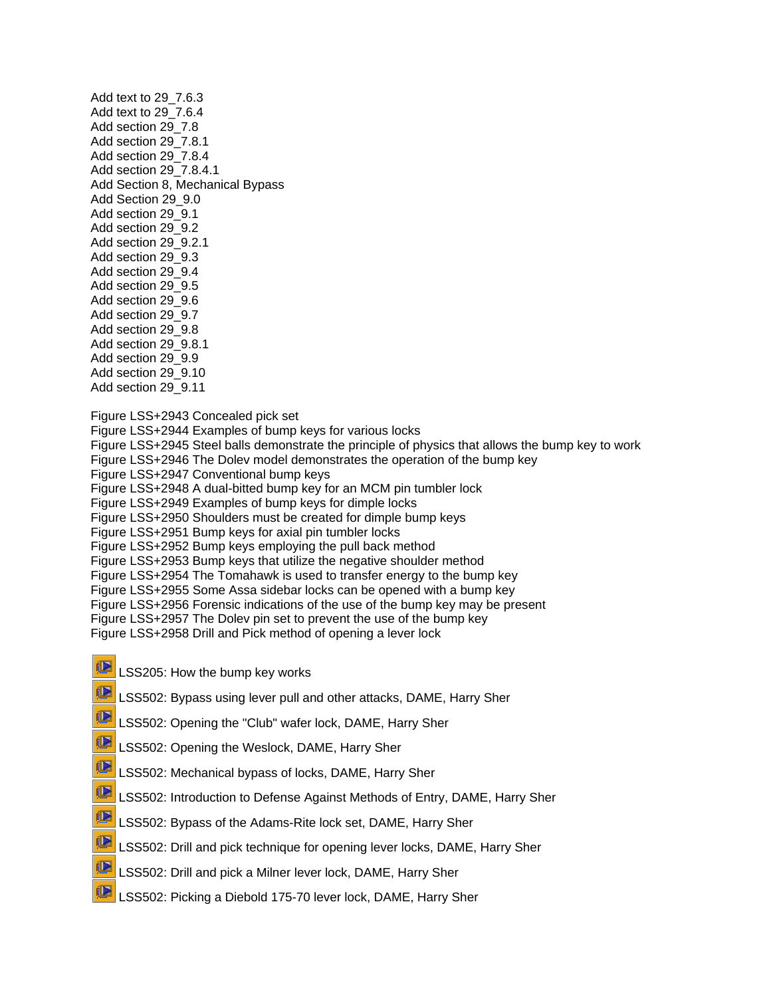- Add text to 29\_7.6.3 Add text to 29\_7.6.4 Add section 29\_7.8 Add section 29\_7.8.1 Add section 29\_7.8.4 Add section 29\_7.8.4.1 Add Section 8, Mechanical Bypass Add Section 29\_9.0 Add section 29\_9.1 Add section 29\_9.2 Add section 29\_9.2.1 Add section 29\_9.3 Add section 29\_9.4 Add section 29\_9.5 Add section 29\_9.6 Add section 29\_9.7 Add section 29\_9.8 Add section 29\_9.8.1 Add section 29 9.9 Add section 29\_9.10 Add section 29\_9.11 Figure LSS+2943 Concealed pick set Figure LSS+2944 Examples of bump keys for various locks Figure LSS+2945 Steel balls demonstrate the principle of physics that allows the bump key to work Figure LSS+2946 The Dolev model demonstrates the operation of the bump key Figure LSS+2947 Conventional bump keys Figure LSS+2948 A dual-bitted bump key for an MCM pin tumbler lock Figure LSS+2949 Examples of bump keys for dimple locks Figure LSS+2950 Shoulders must be created for dimple bump keys Figure LSS+2951 Bump keys for axial pin tumbler locks Figure LSS+2952 Bump keys employing the pull back method Figure LSS+2953 Bump keys that utilize the negative shoulder method Figure LSS+2954 The Tomahawk is used to transfer energy to the bump key Figure LSS+2955 Some Assa sidebar locks can be opened with a bump key Figure LSS+2956 Forensic indications of the use of the bump key may be present Figure LSS+2957 The Dolev pin set to prevent the use of the bump key Figure LSS+2958 Drill and Pick method of opening a lever lock
- **ID** LSS205: How the bump key works
- **iD** LSS502: Bypass using lever pull and other attacks, DAME, Harry Sher
- ŗſ LSS502: Opening the "Club" wafer lock, DAME, Harry Sher
- **i** LSS502: Opening the Weslock, DAME, Harry Sher
- til⊇ LSS502: Mechanical bypass of locks, DAME, Harry Sher
- tile LSS502: Introduction to Defense Against Methods of Entry, DAME, Harry Sher
- **ID** LSS502: Bypass of the Adams-Rite lock set, DAME, Harry Sher
- til⊇ LSS502: Drill and pick technique for opening lever locks, DAME, Harry Sher
- LSS502: Drill and pick a Milner lever lock, DAME, Harry Sher
- LSS502: Picking a Diebold 175-70 lever lock, DAME, Harry Sher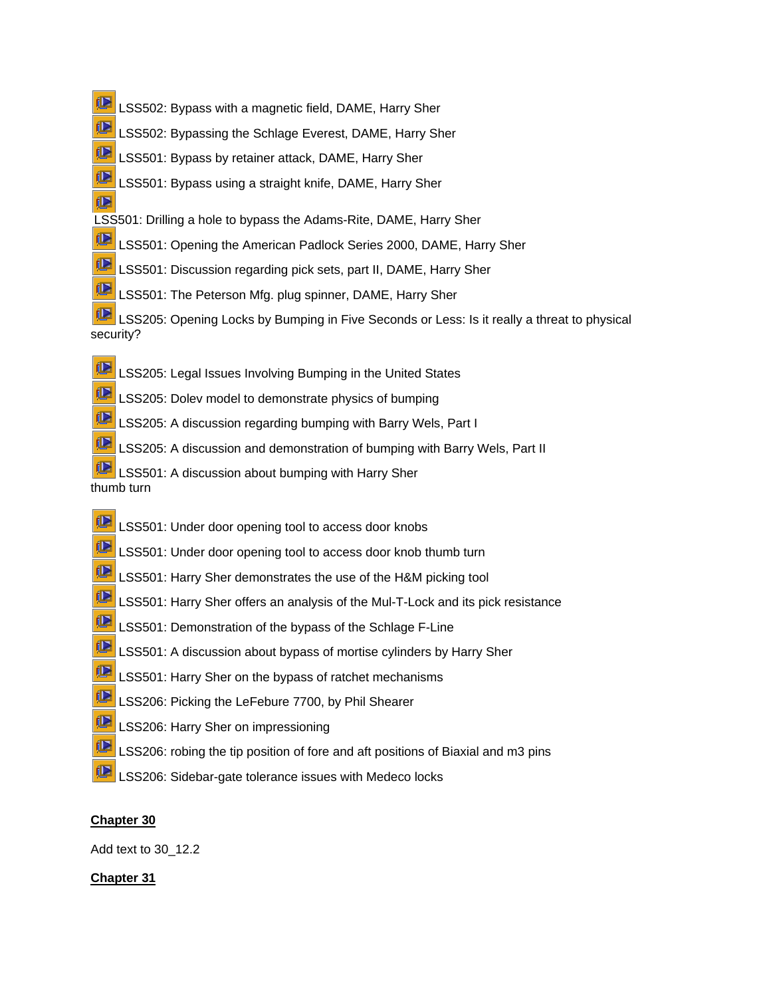- **iD** LSS502: Bypass with a magnetic field, DAME, Harry Sher
- 但 LSS502: Bypassing the Schlage Everest, DAME, Harry Sher
- $\blacksquare$ LSS501: Bypass by retainer attack, DAME, Harry Sher
- LSS501: Bypass using a straight knife, DAME, Harry Sher
- (ID)
- LSS501: Drilling a hole to bypass the Adams-Rite, DAME, Harry Sher
- LSS501: Opening the American Padlock Series 2000, DAME, Harry Sher
- **ID** LSS501: Discussion regarding pick sets, part II, DAME, Harry Sher
- (D LSS501: The Peterson Mfg. plug spinner, DAME, Harry Sher
- t⊡ LSS205: Opening Locks by Bumping in Five Seconds or Less: Is it really a threat to physical security?
- LSS205: Legal Issues Involving Bumping in the United States
- **ID** LSS205: Dolev model to demonstrate physics of bumping
- (D) LSS205: A discussion regarding bumping with Barry Wels, Part I
- LSS205: A discussion and demonstration of bumping with Barry Wels, Part II
- LSS501: A discussion about bumping with Harry Sher

thumb turn

- **ID** LSS501: Under door opening tool to access door knobs
- <u>in</u> LSS501: Under door opening tool to access door knob thumb turn
- 帼 LSS501: Harry Sher demonstrates the use of the H&M picking tool
- tD i LSS501: Harry Sher offers an analysis of the Mul-T-Lock and its pick resistance
- 但 LSS501: Demonstration of the bypass of the Schlage F-Line
- LSS501: A discussion about bypass of mortise cylinders by Harry Sher
- LSS501: Harry Sher on the bypass of ratchet mechanisms
- **LE** LSS206: Picking the LeFebure 7700, by Phil Shearer
- **心** LSS206: Harry Sher on impressioning
- LSS206: robing the tip position of fore and aft positions of Biaxial and m3 pins
- LSS206: Sidebar-gate tolerance issues with Medeco locks

# **Chapter 30**

Add text to 30\_12.2

# **Chapter 31**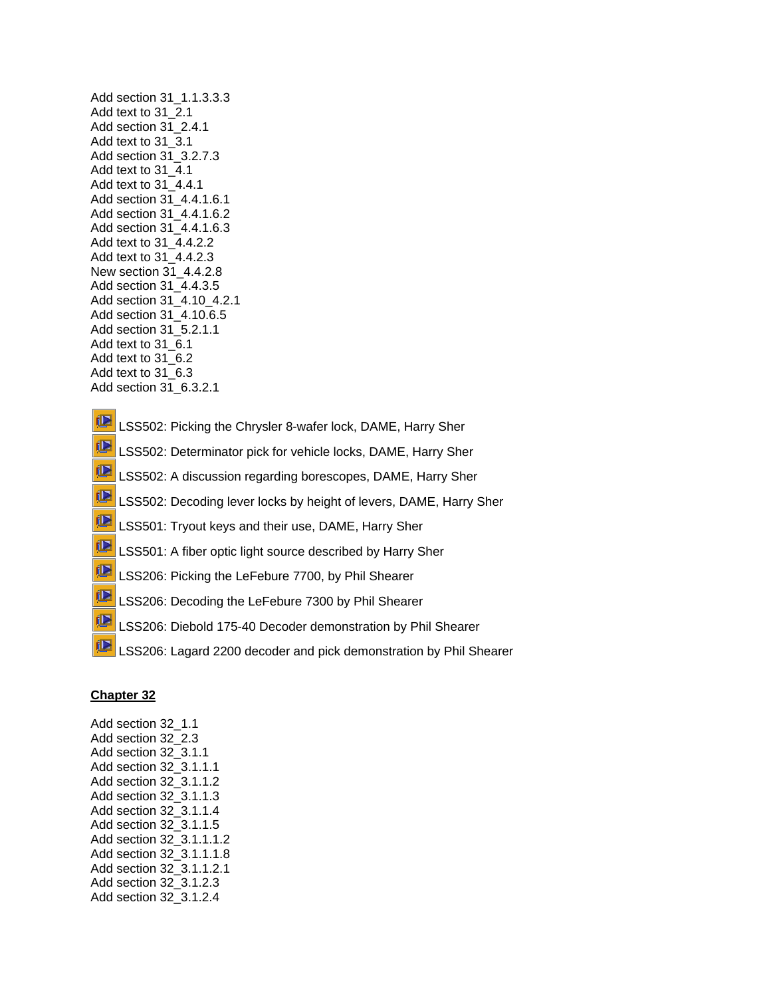- Add section 31\_1.1.3.3.3 Add text to 31\_2.1 Add section 31\_2.4.1 Add text to 31\_3.1 Add section 31\_3.2.7.3 Add text to 31\_4.1 Add text to 31\_4.4.1 Add section 31\_4.4.1.6.1 Add section 31\_4.4.1.6.2 Add section 31\_4.4.1.6.3 Add text to 31\_4.4.2.2 Add text to 31\_4.4.2.3 New section 31\_4.4.2.8 Add section 31\_4.4.3.5 Add section 31\_4.10\_4.2.1 Add section 31\_4.10.6.5 Add section 31\_5.2.1.1 Add text to 31\_6.1 Add text to 31\_6.2 Add text to 31\_6.3 Add section 31\_6.3.2.1
- **ID** LSS502: Picking the Chrysler 8-wafer lock, DAME, Harry Sher
- **ID** LSS502: Determinator pick for vehicle locks, DAME, Harry Sher
- **ID** LSS502: A discussion regarding borescopes, DAME, Harry Sher
- 但 LSS502: Decoding lever locks by height of levers, DAME, Harry Sher
- (D LSS501: Tryout keys and their use, DAME, Harry Sher
- **iD** LSS501: A fiber optic light source described by Harry Sher
- til⊇ LSS206: Picking the LeFebure 7700, by Phil Shearer
- 但 LSS206: Decoding the LeFebure 7300 by Phil Shearer
- **in** LSS206: Diebold 175-40 Decoder demonstration by Phil Shearer
- <u>in</u> LSS206: Lagard 2200 decoder and pick demonstration by Phil Shearer

Add section 32\_1.1 Add section 32\_2.3 Add section 32\_3.1.1 Add section 32\_3.1.1.1 Add section 32\_3.1.1.2 Add section 32\_3.1.1.3 Add section 32\_3.1.1.4 Add section 32\_3.1.1.5 Add section 32\_3.1.1.1.2 Add section 32\_3.1.1.1.8 Add section 32\_3.1.1.2.1 Add section 32\_3.1.2.3 Add section 32\_3.1.2.4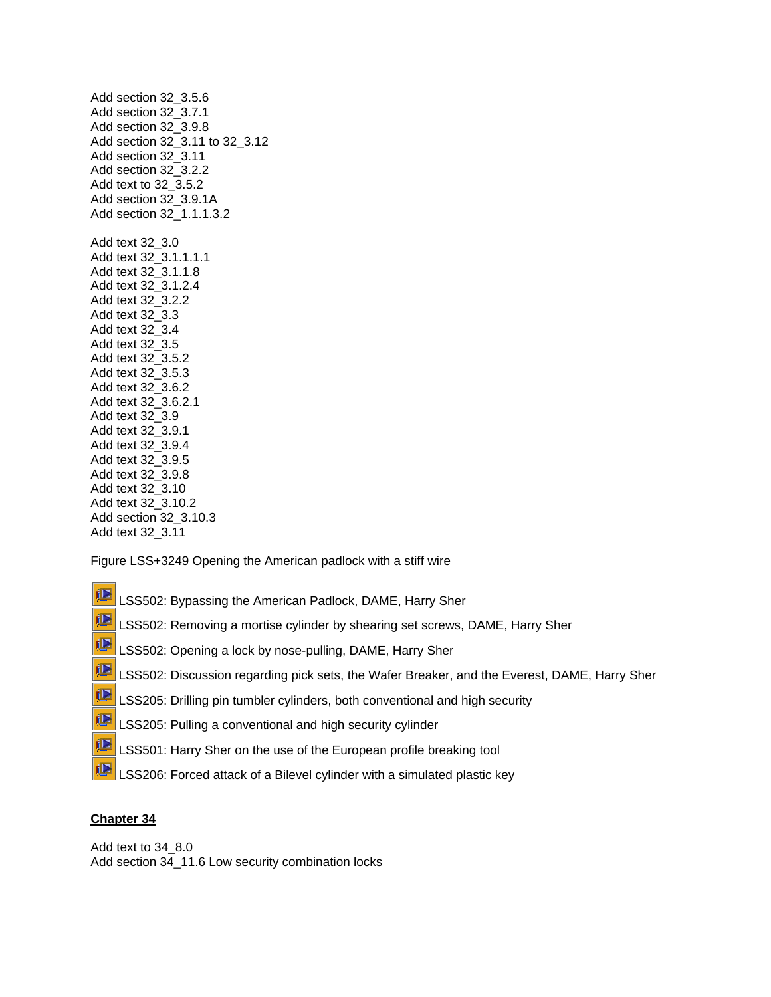Add section 32\_3.5.6 Add section 32\_3.7.1 Add section 32\_3.9.8 Add section 32\_3.11 to 32\_3.12 Add section 32\_3.11 Add section 32\_3.2.2 Add text to 32\_3.5.2 Add section 32\_3.9.1A Add section 32\_1.1.1.3.2 Add text 32\_3.0 Add text 32\_3.1.1.1.1 Add text 32\_3.1.1.8 Add text 32\_3.1.2.4 Add text 32\_3.2.2 Add text 32\_3.3 Add text 32\_3.4 Add text 32\_3.5 Add text 32\_3.5.2 Add text 32\_3.5.3 Add text 32\_3.6.2 Add text 32\_3.6.2.1 Add text 32\_3.9 Add text 32\_3.9.1 Add text 32\_3.9.4 Add text 32\_3.9.5 Add text 32\_3.9.8 Add text 32\_3.10 Add text 32\_3.10.2 Add section 32\_3.10.3 Add text 32\_3.11

Figure LSS+3249 Opening the American padlock with a stiff wire

- **问** LSS502: Bypassing the American Padlock, DAME, Harry Sher
- **in** LSS502: Removing a mortise cylinder by shearing set screws, DAME, Harry Sher
- 但 LSS502: Opening a lock by nose-pulling, DAME, Harry Sher
- **ID** LSS502: Discussion regarding pick sets, the Wafer Breaker, and the Everest, DAME, Harry Sher
- **ID** LSS205: Drilling pin tumbler cylinders, both conventional and high security
- <u>in</u> LSS205: Pulling a conventional and high security cylinder
- til⊇ LSS501: Harry Sher on the use of the European profile breaking tool
- LSS206: Forced attack of a Bilevel cylinder with a simulated plastic key

## **Chapter 34**

Add text to 34\_8.0 Add section 34\_11.6 Low security combination locks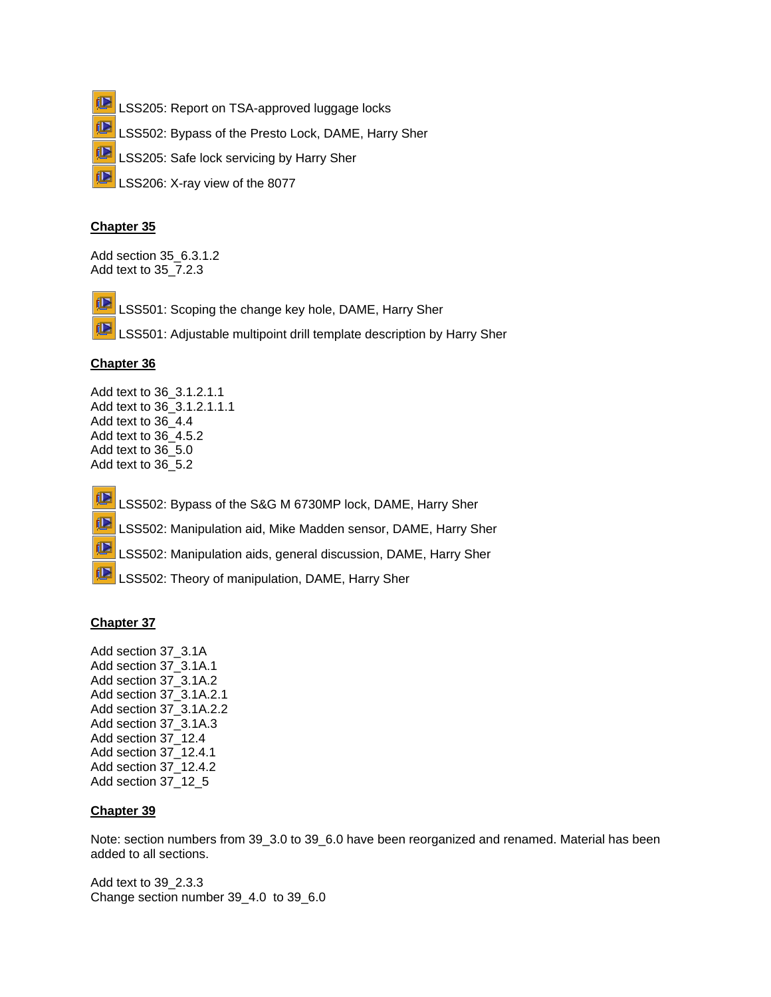- **in** LSS205: Report on TSA-approved luggage locks
- ₫D LSS502: Bypass of the Presto Lock, DAME, Harry Sher
- til⊇ LSS205: Safe lock servicing by Harry Sher
- <u>(D</u> LSS206: X-ray view of the 8077

Add section 35\_6.3.1.2 Add text to 35\_7.2.3

<u>iD</u> LSS501: Scoping the change key hole, DAME, Harry Sher

<u>in</u> LSS501: Adjustable multipoint drill template description by Harry Sher

## **Chapter 36**

Add text to 36\_3.1.2.1.1 Add text to 36\_3.1.2.1.1.1 Add text to 36\_4.4 Add text to 36\_4.5.2 Add text to 36\_5.0 Add text to 36\_5.2

**ID**  LSS502: Bypass of the S&G M 6730MP lock, DAME, Harry Sher **in**  LSS502: Manipulation aid, Mike Madden sensor, DAME, Harry Sher <u>iD</u>

LSS502: Manipulation aids, general discussion, DAME, Harry Sher

tl⊵ LSS502: Theory of manipulation, DAME, Harry Sher

## **Chapter 37**

Add section 37\_3.1A Add section 37\_3.1A.1 Add section 37\_3.1A.2 Add section 37\_3.1A.2.1 Add section 37\_3.1A.2.2 Add section 37\_3.1A.3 Add section 37\_12.4 Add section 37\_12.4.1 Add section 37\_12.4.2 Add section 37\_12\_5

## **Chapter 39**

Note: section numbers from 39 3.0 to 39 6.0 have been reorganized and renamed. Material has been added to all sections.

Add text to 39\_2.3.3 Change section number 39\_4.0 to 39\_6.0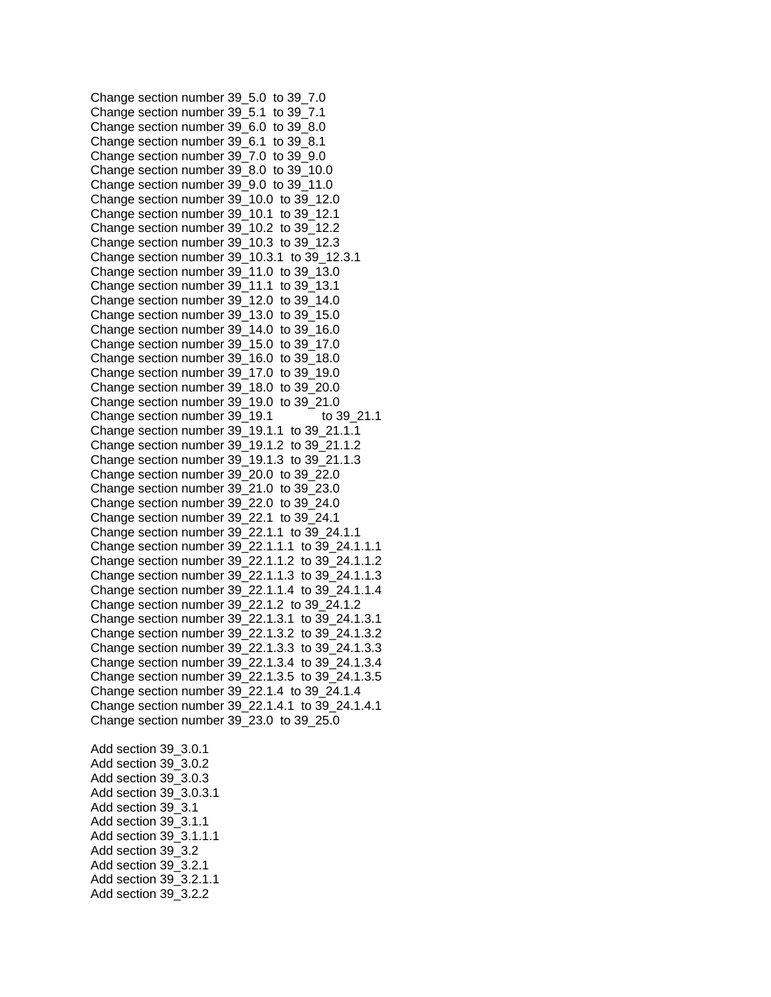Change section number 39\_5.0 to 39\_7.0 Change section number 39\_5.1 to 39\_7.1 Change section number 39\_6.0 to 39\_8.0 Change section number 39\_6.1 to 39\_8.1 Change section number 39\_7.0 to 39\_9.0 Change section number 39\_8.0 to 39\_10.0 Change section number 39\_9.0 to 39\_11.0 Change section number 39\_10.0 to 39\_12.0 Change section number 39\_10.1 to 39\_12.1 Change section number 39\_10.2 to 39\_12.2 Change section number 39\_10.3 to 39\_12.3 Change section number 39\_10.3.1 to 39\_12.3.1 Change section number 39\_11.0 to 39\_13.0 Change section number 39\_11.1 to 39\_13.1 Change section number 39\_12.0 to 39\_14.0 Change section number 39\_13.0 to 39\_15.0 Change section number 39\_14.0 to 39\_16.0 Change section number 39\_15.0 to 39\_17.0 Change section number 39\_16.0 to 39\_18.0 Change section number 39\_17.0 to 39\_19.0 Change section number 39\_18.0 to 39\_20.0 Change section number 39\_19.0 to 39\_21.0 Change section number 39\_19.1 to 39\_21.1 Change section number 39\_19.1.1 to 39\_21.1.1 Change section number 39\_19.1.2 to 39\_21.1.2 Change section number 39\_19.1.3 to 39\_21.1.3 Change section number 39\_20.0 to 39\_22.0 Change section number 39\_21.0 to 39\_23.0 Change section number 39\_22.0 to 39\_24.0 Change section number 39\_22.1 to 39\_24.1 Change section number 39\_22.1.1 to 39\_24.1.1 Change section number 39\_22.1.1.1 to 39\_24.1.1.1 Change section number 39\_22.1.1.2 to 39\_24.1.1.2 Change section number 39\_22.1.1.3 to 39\_24.1.1.3 Change section number 39\_22.1.1.4 to 39\_24.1.1.4 Change section number 39\_22.1.2 to 39\_24.1.2 Change section number 39\_22.1.3.1 to 39\_24.1.3.1 Change section number 39\_22.1.3.2 to 39\_24.1.3.2 Change section number 39\_22.1.3.3 to 39\_24.1.3.3 Change section number 39\_22.1.3.4 to 39\_24.1.3.4 Change section number 39\_22.1.3.5 to 39\_24.1.3.5 Change section number 39\_22.1.4 to 39\_24.1.4 Change section number 39\_22.1.4.1 to 39\_24.1.4.1 Change section number 39\_23.0 to 39\_25.0

Add section 39\_3.0.1 Add section 39\_3.0.2 Add section 39\_3.0.3 Add section 39\_3.0.3.1 Add section 39\_3.1 Add section 39\_3.1.1 Add section 39\_3.1.1.1 Add section 39\_3.2 Add section 39\_3.2.1 Add section 39\_3.2.1.1 Add section 39\_3.2.2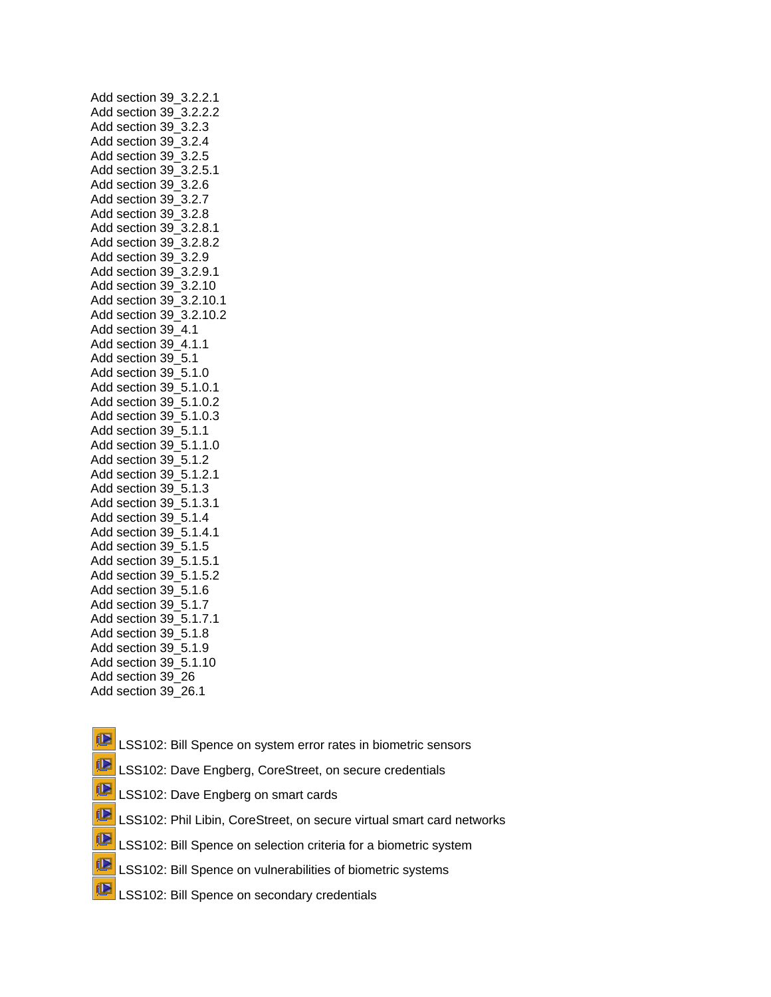Add section 39\_3.2.2.1 Add section 39\_3.2.2.2 Add section 39\_3.2.3 Add section 39\_3.2.4 Add section 39\_3.2.5 Add section 39\_3.2.5.1 Add section 39\_3.2.6 Add section 39\_3.2.7 Add section 39\_3.2.8 Add section 39\_3.2.8.1 Add section 39\_3.2.8.2 Add section 39\_3.2.9 Add section 39\_3.2.9.1 Add section 39\_3.2.10 Add section 39\_3.2.10.1 Add section 39\_3.2.10.2 Add section 39\_4.1 Add section 39\_4.1.1 Add section 39\_5.1 Add section 39\_5.1.0 Add section 39\_5.1.0.1 Add section 39\_5.1.0.2 Add section 39\_5.1.0.3 Add section 39\_5.1.1 Add section 39\_5.1.1.0 Add section 39\_5.1.2 Add section 39\_5.1.2.1 Add section 39\_5.1.3 Add section 39\_5.1.3.1 Add section 39\_5.1.4 Add section 39\_5.1.4.1 Add section 39\_5.1.5 Add section 39\_5.1.5.1 Add section 39\_5.1.5.2 Add section 39\_5.1.6 Add section 39\_5.1.7 Add section 39\_5.1.7.1 Add section 39\_5.1.8 Add section 39\_5.1.9 Add section 39\_5.1.10 Add section 39\_26 Add section 39\_26.1

- **in** LSS102: Bill Spence on system error rates in biometric sensors
- (D LSS102: Dave Engberg, CoreStreet, on secure credentials
- 岠 LSS102: Dave Engberg on smart cards
- **in** LSS102: Phil Libin, CoreStreet, on secure virtual smart card networks
- ₫D LSS102: Bill Spence on selection criteria for a biometric system
- LSS102: Bill Spence on vulnerabilities of biometric systems
- LSS102: Bill Spence on secondary credentials